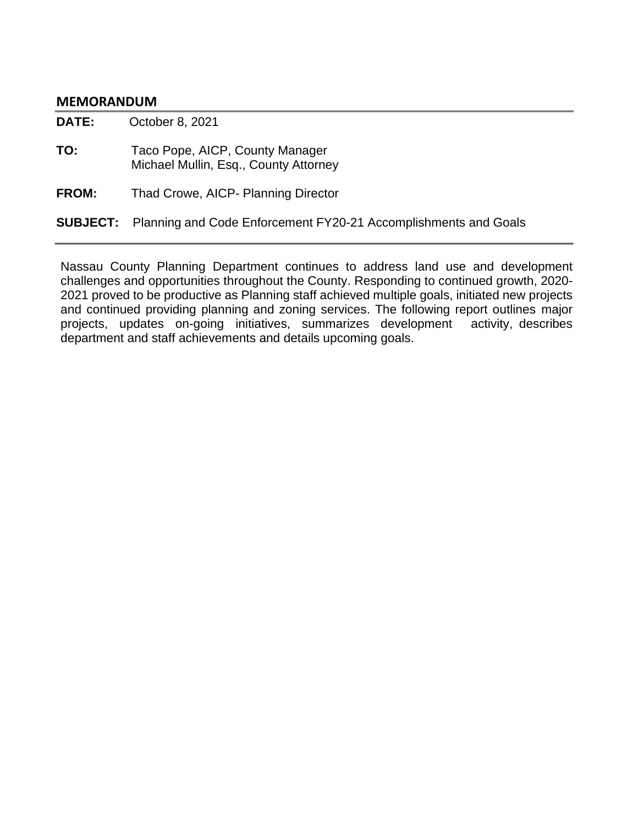#### **MEMORANDUM**

**DATE:** October 8, 2021

**TO:** Taco Pope, AICP, County Manager Michael Mullin, Esq., County Attorney

**FROM:** Thad Crowe, AICP- Planning Director

## **SUBJECT:** Planning and Code Enforcement FY20-21 Accomplishments and Goals

Nassau County Planning Department continues to address land use and development challenges and opportunities throughout the County. Responding to continued growth, 2020- 2021 proved to be productive as Planning staff achieved multiple goals, initiated new projects and continued providing planning and zoning services. The following report outlines major projects, updates on-going initiatives, summarizes development activity, describes department and staff achievements and details upcoming goals.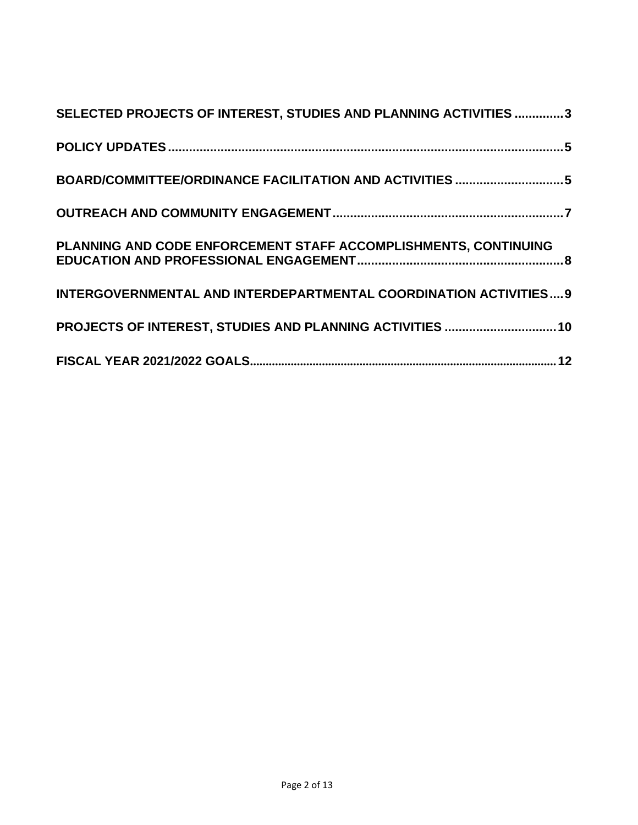| SELECTED PROJECTS OF INTEREST, STUDIES AND PLANNING ACTIVITIES 3  |
|-------------------------------------------------------------------|
|                                                                   |
| BOARD/COMMITTEE/ORDINANCE FACILITATION AND ACTIVITIES 5           |
|                                                                   |
| PLANNING AND CODE ENFORCEMENT STAFF ACCOMPLISHMENTS, CONTINUING   |
| INTERGOVERNMENTAL AND INTERDEPARTMENTAL COORDINATION ACTIVITIES 9 |
| PROJECTS OF INTEREST, STUDIES AND PLANNING ACTIVITIES  10         |
|                                                                   |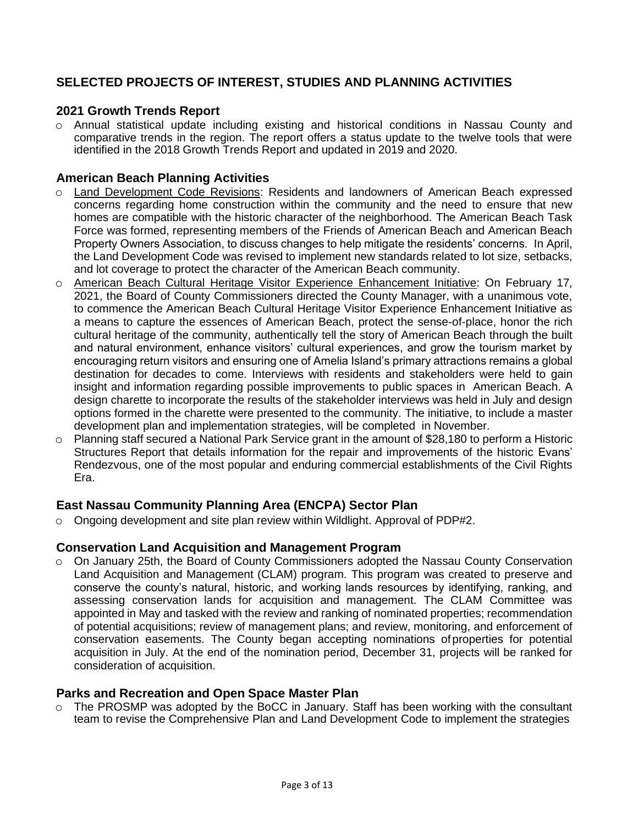# <span id="page-2-0"></span>**SELECTED PROJECTS OF INTEREST, STUDIES AND PLANNING ACTIVITIES**

# **2021 Growth Trends Report**

o Annual statistical update including existing and historical conditions in Nassau County and comparative trends in the region. The report offers a status update to the twelve tools that were identified in the 2018 Growth Trends Report and updated in 2019 and 2020.

#### **American Beach Planning Activities**

- o Land Development Code Revisions: Residents and landowners of American Beach expressed concerns regarding home construction within the community and the need to ensure that new homes are compatible with the historic character of the neighborhood. The American Beach Task Force was formed, representing members of the Friends of American Beach and American Beach Property Owners Association, to discuss changes to help mitigate the residents' concerns. In April, the Land Development Code was revised to implement new standards related to lot size, setbacks, and lot coverage to protect the character of the American Beach community.
- o American Beach Cultural Heritage Visitor Experience Enhancement Initiative: On February 17, 2021, the Board of County Commissioners directed the County Manager, with a unanimous vote, to commence the American Beach Cultural Heritage Visitor Experience Enhancement Initiative as a means to capture the essences of American Beach, protect the sense-of-place, honor the rich cultural heritage of the community, authentically tell the story of American Beach through the built and natural environment, enhance visitors' cultural experiences, and grow the tourism market by encouraging return visitors and ensuring one of Amelia Island's primary attractions remains a global destination for decades to come. Interviews with residents and stakeholders were held to gain insight and information regarding possible improvements to public spaces in American Beach. A design charette to incorporate the results of the stakeholder interviews was held in July and design options formed in the charette were presented to the community. The initiative, to include a master development plan and implementation strategies, will be completed in November.
- o Planning staff secured a National Park Service grant in the amount of \$28,180 to perform a Historic Structures Report that details information for the repair and improvements of the historic Evans' Rendezvous, one of the most popular and enduring commercial establishments of the Civil Rights Era.

# **East Nassau Community Planning Area (ENCPA) Sector Plan**

 $\circ$  Ongoing development and site plan review within Wildlight. Approval of PDP#2.

#### **Conservation Land Acquisition and Management Program**

o On January 25th, the Board of County Commissioners adopted the Nassau County Conservation Land Acquisition and Management (CLAM) program. This program was created to preserve and conserve the county's natural, historic, and working lands resources by identifying, ranking, and assessing conservation lands for acquisition and management. The CLAM Committee was appointed in May and tasked with the review and ranking of nominated properties; recommendation of potential acquisitions; review of management plans; and review, monitoring, and enforcement of conservation easements. The County began accepting nominations ofproperties for potential acquisition in July. At the end of the nomination period, December 31, projects will be ranked for consideration of acquisition.

#### **Parks and Recreation and Open Space Master Plan**

o The PROSMP was adopted by the BoCC in January. Staff has been working with the consultant team to revise the Comprehensive Plan and Land Development Code to implement the strategies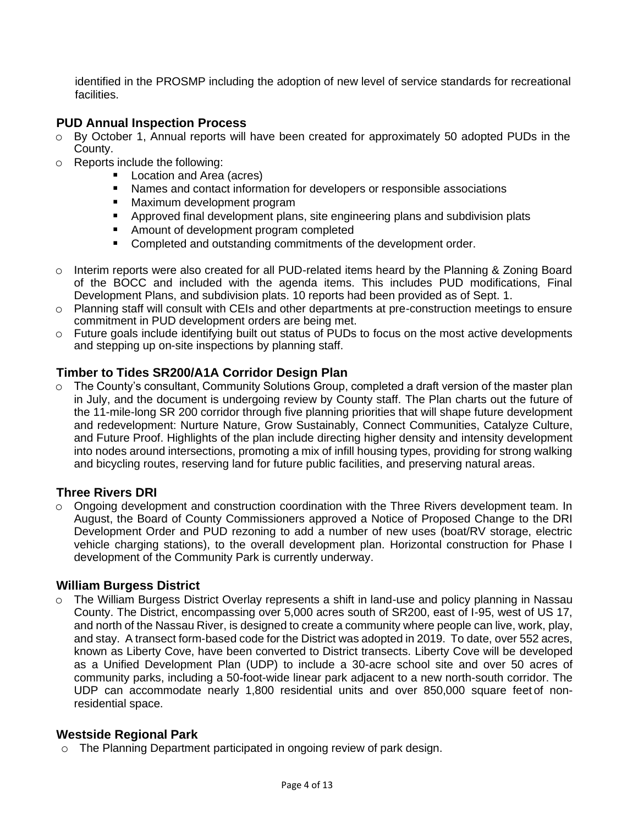identified in the PROSMP including the adoption of new level of service standards for recreational facilities.

# **PUD Annual Inspection Process**

- $\circ$  By October 1, Annual reports will have been created for approximately 50 adopted PUDs in the County.
- o Reports include the following:
	- Location and Area (acres)
	- Names and contact information for developers or responsible associations
	- Maximum development program
	- Approved final development plans, site engineering plans and subdivision plats
	- Amount of development program completed
	- Completed and outstanding commitments of the development order.
- o Interim reports were also created for all PUD-related items heard by the Planning & Zoning Board of the BOCC and included with the agenda items. This includes PUD modifications, Final Development Plans, and subdivision plats. 10 reports had been provided as of Sept. 1.
- o Planning staff will consult with CEIs and other departments at pre-construction meetings to ensure commitment in PUD development orders are being met.
- $\circ$  Future goals include identifying built out status of PUDs to focus on the most active developments and stepping up on-site inspections by planning staff.

# **Timber to Tides SR200/A1A Corridor Design Plan**

o The County's consultant, Community Solutions Group, completed a draft version of the master plan in July, and the document is undergoing review by County staff. The Plan charts out the future of the 11-mile-long SR 200 corridor through five planning priorities that will shape future development and redevelopment: Nurture Nature, Grow Sustainably, Connect Communities, Catalyze Culture, and Future Proof. Highlights of the plan include directing higher density and intensity development into nodes around intersections, promoting a mix of infill housing types, providing for strong walking and bicycling routes, reserving land for future public facilities, and preserving natural areas.

#### **Three Rivers DRI**

 $\circ$  Ongoing development and construction coordination with the Three Rivers development team. In August, the Board of County Commissioners approved a Notice of Proposed Change to the DRI Development Order and PUD rezoning to add a number of new uses (boat/RV storage, electric vehicle charging stations), to the overall development plan. Horizontal construction for Phase I development of the Community Park is currently underway.

#### **William Burgess District**

o The William Burgess District Overlay represents a shift in land-use and policy planning in Nassau County. The District, encompassing over 5,000 acres south of SR200, east of I-95, west of US 17, and north of the Nassau River, is designed to create a community where people can live, work, play, and stay. A transect form-based code for the District was adopted in 2019. To date, over 552 acres, known as Liberty Cove, have been converted to District transects. Liberty Cove will be developed as a Unified Development Plan (UDP) to include a 30-acre school site and over 50 acres of community parks, including a 50-foot-wide linear park adjacent to a new north-south corridor. The UDP can accommodate nearly 1,800 residential units and over 850,000 square feet of nonresidential space.

#### **Westside Regional Park**

<span id="page-3-0"></span>o The Planning Department participated in ongoing review of park design.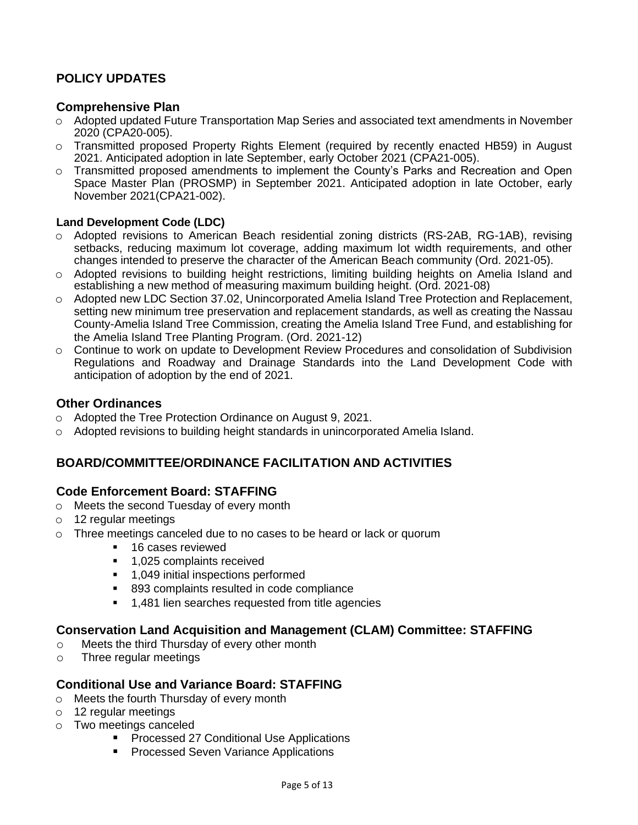# **POLICY UPDATES**

## **Comprehensive Plan**

- o Adopted updated Future Transportation Map Series and associated text amendments in November 2020 (CPA20-005).
- o Transmitted proposed Property Rights Element (required by recently enacted HB59) in August 2021. Anticipated adoption in late September, early October 2021 (CPA21-005).
- o Transmitted proposed amendments to implement the County's Parks and Recreation and Open Space Master Plan (PROSMP) in September 2021. Anticipated adoption in late October, early November 2021(CPA21-002).

#### **Land Development Code (LDC)**

- o Adopted revisions to American Beach residential zoning districts (RS-2AB, RG-1AB), revising setbacks, reducing maximum lot coverage, adding maximum lot width requirements, and other changes intended to preserve the character of the American Beach community (Ord. 2021-05).
- o Adopted revisions to building height restrictions, limiting building heights on Amelia Island and establishing a new method of measuring maximum building height. (Ord. 2021-08)
- o Adopted new LDC Section 37.02, Unincorporated Amelia Island Tree Protection and Replacement, setting new minimum tree preservation and replacement standards, as well as creating the Nassau County-Amelia Island Tree Commission, creating the Amelia Island Tree Fund, and establishing for the Amelia Island Tree Planting Program. (Ord. 2021-12)
- o Continue to work on update to Development Review Procedures and consolidation of Subdivision Regulations and Roadway and Drainage Standards into the Land Development Code with anticipation of adoption by the end of 2021.

# **Other Ordinances**

- o Adopted the Tree Protection Ordinance on August 9, 2021.
- <span id="page-4-0"></span> $\circ$  Adopted revisions to building height standards in unincorporated Amelia Island.

# **BOARD/COMMITTEE/ORDINANCE FACILITATION AND ACTIVITIES**

# **Code Enforcement Board: STAFFING**

- o Meets the second Tuesday of every month
- o 12 regular meetings
- o Three meetings canceled due to no cases to be heard or lack or quorum
	- 16 cases reviewed
	- 1,025 complaints received
	- 1,049 initial inspections performed
	- 893 complaints resulted in code compliance
	- 1,481 lien searches requested from title agencies

# **Conservation Land Acquisition and Management (CLAM) Committee: STAFFING**

- o Meets the third Thursday of every other month
- o Three regular meetings

#### **Conditional Use and Variance Board: STAFFING**

- o Meets the fourth Thursday of every month
- o 12 regular meetings
- o Two meetings canceled
	- Processed 27 Conditional Use Applications
	- Processed Seven Variance Applications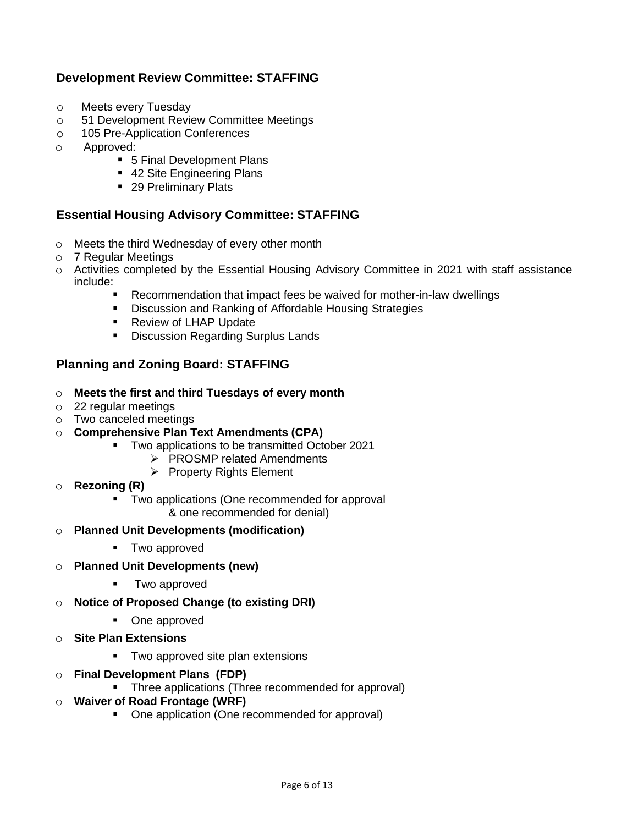# **Development Review Committee: STAFFING**

- o Meets every Tuesday
- o 51 Development Review Committee Meetings
- o 105 Pre-Application Conferences
- o Approved:
	- 5 Final Development Plans
	- 42 Site Engineering Plans
	- 29 Preliminary Plats

## **Essential Housing Advisory Committee: STAFFING**

- o Meets the third Wednesday of every other month
- o 7 Regular Meetings
- o Activities completed by the Essential Housing Advisory Committee in 2021 with staff assistance include:
	- Recommendation that impact fees be waived for mother-in-law dwellings
	- Discussion and Ranking of Affordable Housing Strategies
	- **Review of LHAP Update**
	- Discussion Regarding Surplus Lands

# **Planning and Zoning Board: STAFFING**

- o **Meets the first and third Tuesdays of every month**
- o 22 regular meetings
- o Two canceled meetings
- o **Comprehensive Plan Text Amendments (CPA)**
	- Two applications to be transmitted October 2021
		- ➢ PROSMP related Amendments
		- ➢ Property Rights Element
- o **Rezoning (R)**
	- Two applications (One recommended for approval & one recommended for denial)
- o **Planned Unit Developments (modification)**
	- Two approved
- o **Planned Unit Developments (new)**
	- Two approved
- o **Notice of Proposed Change (to existing DRI)**
	- One approved
- o **Site Plan Extensions**
	- Two approved site plan extensions
- o **Final Development Plans (FDP)**
	- Three applications (Three recommended for approval)
- o **Waiver of Road Frontage (WRF)**
	- One application (One recommended for approval)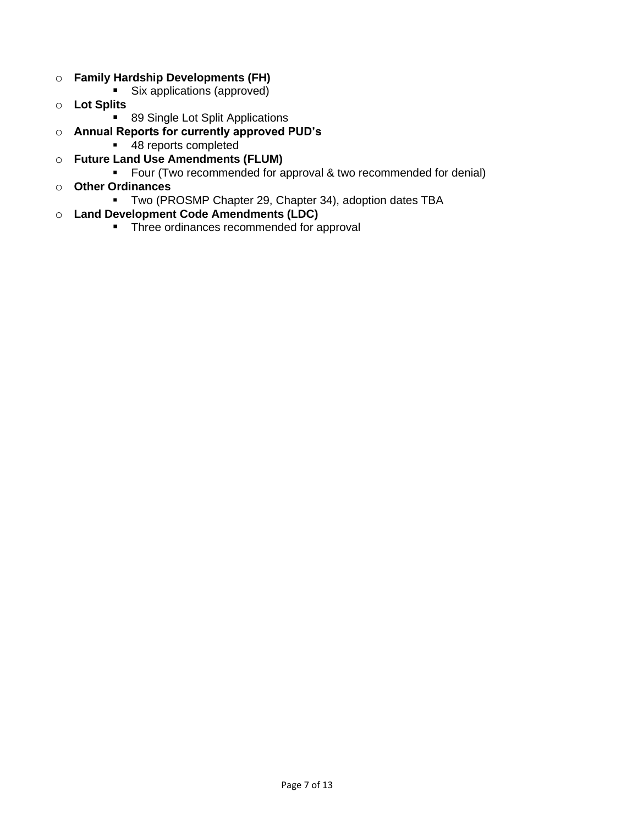- o **Family Hardship Developments (FH)**
	- Six applications (approved)
- o **Lot Splits**
	- 89 Single Lot Split Applications
- o **Annual Reports for currently approved PUD's**
	- 48 reports completed
- o **Future Land Use Amendments (FLUM)**
	- Four (Two recommended for approval & two recommended for denial)
- o **Other Ordinances**
	- Two (PROSMP Chapter 29, Chapter 34), adoption dates TBA
- o **Land Development Code Amendments (LDC)**
	- Three ordinances recommended for approval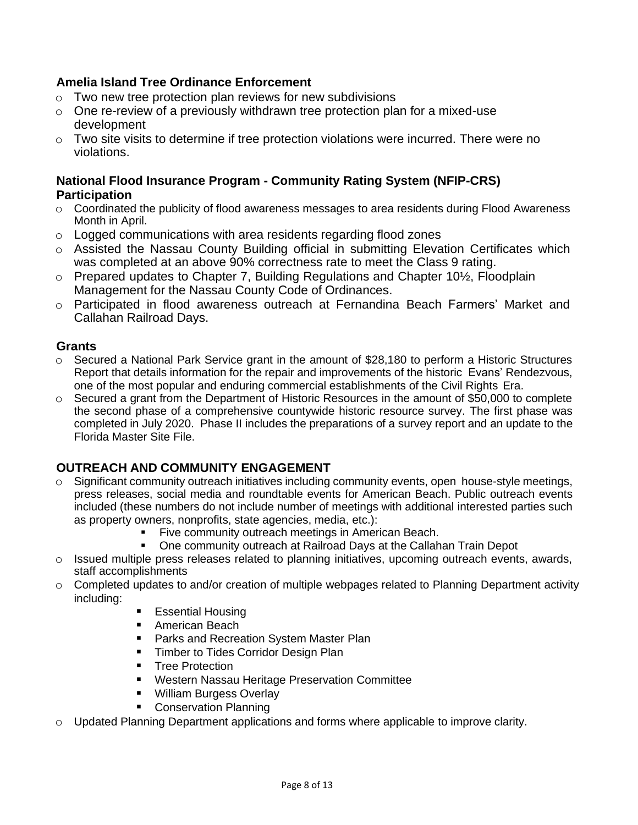# **Amelia Island Tree Ordinance Enforcement**

- $\circ$  Two new tree protection plan reviews for new subdivisions
- $\circ$  One re-review of a previously withdrawn tree protection plan for a mixed-use development
- o Two site visits to determine if tree protection violations were incurred. There were no violations.

# **National Flood Insurance Program - Community Rating System (NFIP-CRS) Participation**

- $\circ$  Coordinated the publicity of flood awareness messages to area residents during Flood Awareness Month in April.
- o Logged communications with area residents regarding flood zones
- o Assisted the Nassau County Building official in submitting Elevation Certificates which was completed at an above 90% correctness rate to meet the Class 9 rating.
- o Prepared updates to Chapter 7, Building Regulations and Chapter 10½, Floodplain Management for the Nassau County Code of Ordinances.
- o Participated in flood awareness outreach at Fernandina Beach Farmers' Market and Callahan Railroad Days.

## **Grants**

- $\circ$  Secured a National Park Service grant in the amount of \$28,180 to perform a Historic Structures Report that details information for the repair and improvements of the historic Evans' Rendezvous, one of the most popular and enduring commercial establishments of the Civil Rights Era.
- $\circ$  Secured a grant from the Department of Historic Resources in the amount of \$50,000 to complete the second phase of a comprehensive countywide historic resource survey. The first phase was completed in July 2020. Phase II includes the preparations of a survey report and an update to the Florida Master Site File.

# <span id="page-7-0"></span>**OUTREACH AND COMMUNITY ENGAGEMENT**

- $\circ$  Significant community outreach initiatives including community events, open house-style meetings, press releases, social media and roundtable events for American Beach. Public outreach events included (these numbers do not include number of meetings with additional interested parties such as property owners, nonprofits, state agencies, media, etc.):
	- Five community outreach meetings in American Beach.
	- One community outreach at Railroad Days at the Callahan Train Depot
- $\circ$  Issued multiple press releases related to planning initiatives, upcoming outreach events, awards, staff accomplishments
- o Completed updates to and/or creation of multiple webpages related to Planning Department activity including:
	- **Essential Housing**
	- American Beach
	- Parks and Recreation System Master Plan
	- **E** Timber to Tides Corridor Design Plan<br> **EXEC** Protection
	- **Tree Protection**
	- Western Nassau Heritage Preservation Committee
	- William Burgess Overlay
	- Conservation Planning
- Updated Planning Department applications and forms where applicable to improve clarity.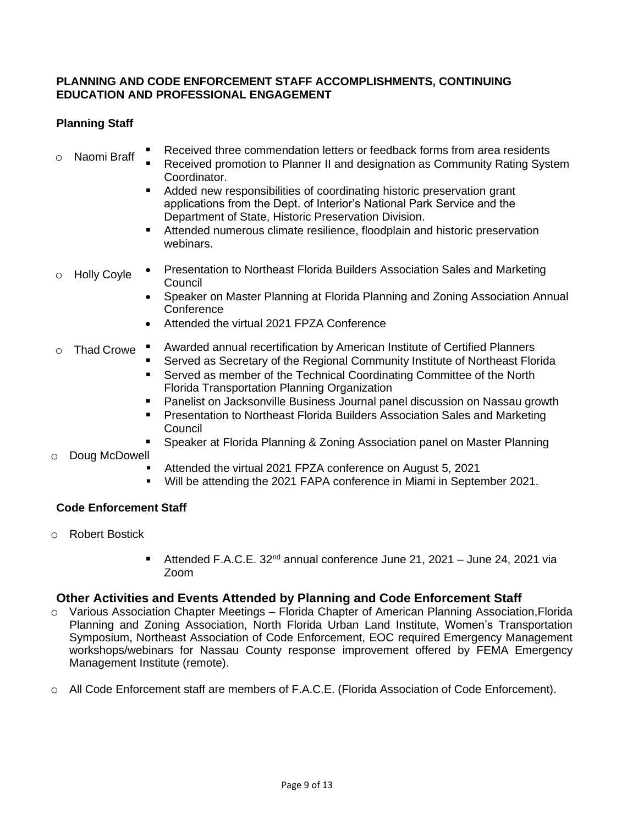#### <span id="page-8-0"></span>**PLANNING AND CODE ENFORCEMENT STAFF ACCOMPLISHMENTS, CONTINUING EDUCATION AND PROFESSIONAL ENGAGEMENT**

# **Planning Staff**

- o Naomi Braff Received three commendation letters or feedback forms from area residents
	- Received promotion to Planner II and designation as Community Rating System Coordinator.
		- Added new responsibilities of coordinating historic preservation grant applications from the Dept. of Interior's National Park Service and the Department of State, Historic Preservation Division.
		- Attended numerous climate resilience, floodplain and historic preservation webinars.
- o Holly Coyle • Presentation to Northeast Florida Builders Association Sales and Marketing Council
	- Speaker on Master Planning at Florida Planning and Zoning Association Annual **Conference**
	- Attended the virtual 2021 FPZA Conference

#### o Thad Crowe  $\blacksquare$ Awarded annual recertification by American Institute of Certified Planners

- Served as Secretary of the Regional Community Institute of Northeast Florida
- Served as member of the Technical Coordinating Committee of the North Florida Transportation Planning Organization
- Panelist on Jacksonville Business Journal panel discussion on Nassau growth
- Presentation to Northeast Florida Builders Association Sales and Marketing Council
- Speaker at Florida Planning & Zoning Association panel on Master Planning

#### o Doug McDowell

- Attended the virtual 2021 FPZA conference on August 5, 2021
- Will be attending the 2021 FAPA conference in Miami in September 2021.

#### **Code Enforcement Staff**

- o Robert Bostick
	- **E** Attended F.A.C.E. 32<sup>nd</sup> annual conference June 21, 2021 June 24, 2021 via Zoom

#### **Other Activities and Events Attended by Planning and Code Enforcement Staff**

- o Various Association Chapter Meetings Florida Chapter of American Planning Association,Florida Planning and Zoning Association, North Florida Urban Land Institute, Women's Transportation Symposium, Northeast Association of Code Enforcement, EOC required Emergency Management workshops/webinars for Nassau County response improvement offered by FEMA Emergency Management Institute (remote).
- o All Code Enforcement staff are members of F.A.C.E. (Florida Association of Code Enforcement).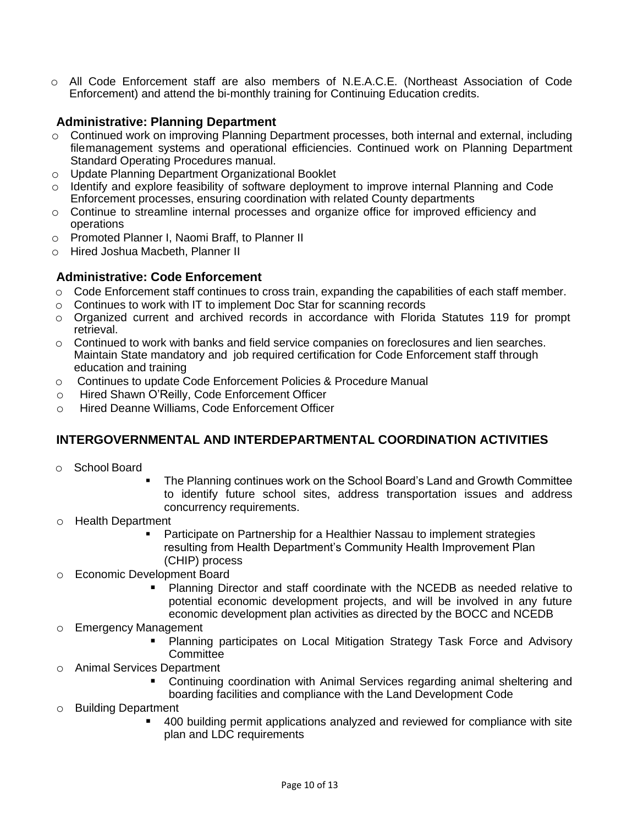o All Code Enforcement staff are also members of N.E.A.C.E. (Northeast Association of Code Enforcement) and attend the bi-monthly training for Continuing Education credits.

# **Administrative: Planning Department**

- o Continued work on improving Planning Department processes, both internal and external, including filemanagement systems and operational efficiencies. Continued work on Planning Department Standard Operating Procedures manual.
- o Update Planning Department Organizational Booklet
- o Identify and explore feasibility of software deployment to improve internal Planning and Code Enforcement processes, ensuring coordination with related County departments
- o Continue to streamline internal processes and organize office for improved efficiency and operations
- o Promoted Planner I, Naomi Braff, to Planner II
- o Hired Joshua Macbeth, Planner II

#### **Administrative: Code Enforcement**

- $\circ$  Code Enforcement staff continues to cross train, expanding the capabilities of each staff member.
- o Continues to work with IT to implement Doc Star for scanning records
- o Organized current and archived records in accordance with Florida Statutes 119 for prompt retrieval.
- $\circ$  Continued to work with banks and field service companies on foreclosures and lien searches. Maintain State mandatory and job required certification for Code Enforcement staff through education and training
- o Continues to update Code Enforcement Policies & Procedure Manual
- o Hired Shawn O'Reilly, Code Enforcement Officer
- <span id="page-9-0"></span>o Hired Deanne Williams, Code Enforcement Officer

# **INTERGOVERNMENTAL AND INTERDEPARTMENTAL COORDINATION ACTIVITIES**

- o School Board
	- The Planning continues work on the School Board's Land and Growth Committee to identify future school sites, address transportation issues and address concurrency requirements.
- o Health Department
	- Participate on Partnership for a Healthier Nassau to implement strategies resulting from Health Department's Community Health Improvement Plan (CHIP) process
- o Economic Development Board
	- Planning Director and staff coordinate with the NCEDB as needed relative to potential economic development projects, and will be involved in any future economic development plan activities as directed by the BOCC and NCEDB
- o Emergency Management
	- Planning participates on Local Mitigation Strategy Task Force and Advisory **Committee**
- o Animal Services Department
	- Continuing coordination with Animal Services regarding animal sheltering and boarding facilities and compliance with the Land Development Code
- o Building Department
	- 400 building permit applications analyzed and reviewed for compliance with site plan and LDC requirements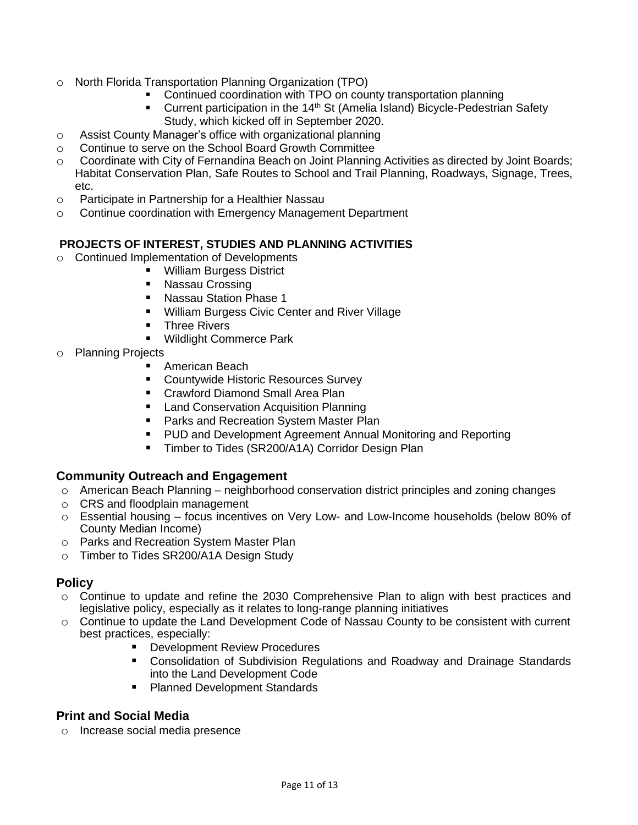- o North Florida Transportation Planning Organization (TPO)
	- Continued coordination with TPO on county transportation planning
	- Current participation in the 14<sup>th</sup> St (Amelia Island) Bicycle-Pedestrian Safety Study, which kicked off in September 2020.
- o Assist County Manager's office with organizational planning
- o Continue to serve on the School Board Growth Committee
- o Coordinate with City of Fernandina Beach on Joint Planning Activities as directed by Joint Boards; Habitat Conservation Plan, Safe Routes to School and Trail Planning, Roadways, Signage, Trees, etc.
- o Participate in Partnership for a Healthier Nassau
- <span id="page-10-0"></span>o Continue coordination with Emergency Management Department

#### **PROJECTS OF INTEREST, STUDIES AND PLANNING ACTIVITIES**

- o Continued Implementation of Developments
	- William Burgess District
	- Nassau Crossing
	- Nassau Station Phase 1
	- William Burgess Civic Center and River Village
	- Three Rivers
	- Wildlight Commerce Park
- o Planning Projects
	- American Beach
	- Countywide Historic Resources Survey
	- Crawford Diamond Small Area Plan
	- **■** Land Conservation Acquisition Planning
	- Parks and Recreation System Master Plan
	- PUD and Development Agreement Annual Monitoring and Reporting
	- Timber to Tides (SR200/A1A) Corridor Design Plan

#### **Community Outreach and Engagement**

- $\circ$  American Beach Planning neighborhood conservation district principles and zoning changes
- o CRS and floodplain management
- o Essential housing focus incentives on Very Low- and Low-Income households (below 80% of County Median Income)
- o Parks and Recreation System Master Plan
- o Timber to Tides SR200/A1A Design Study

#### **Policy**

- $\circ$  Continue to update and refine the 2030 Comprehensive Plan to align with best practices and legislative policy, especially as it relates to long-range planning initiatives
- $\circ$  Continue to update the Land Development Code of Nassau County to be consistent with current best practices, especially:
	- Development Review Procedures
	- Consolidation of Subdivision Regulations and Roadway and Drainage Standards into the Land Development Code
	- Planned Development Standards

# **Print and Social Media**

o Increase social media presence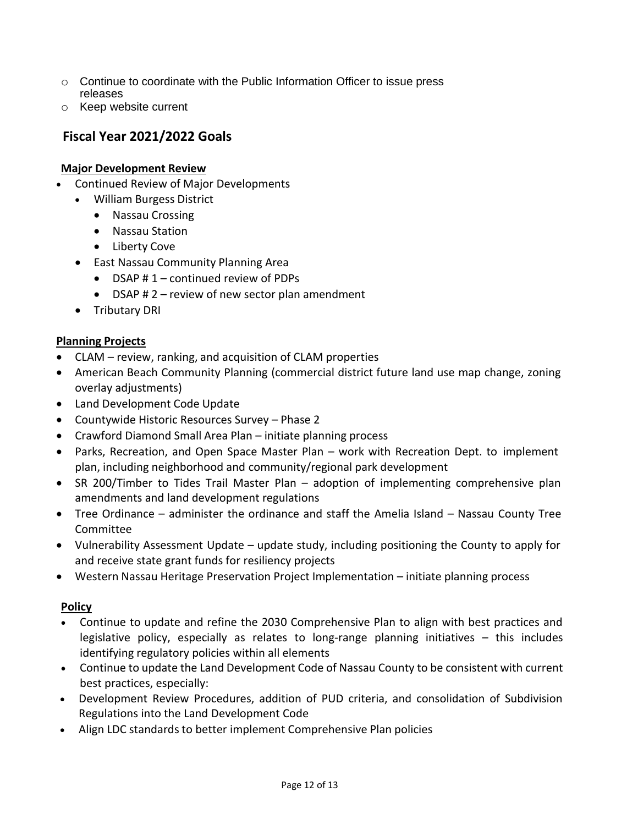- $\circ$  Continue to coordinate with the Public Information Officer to issue press releases
- o Keep website current

# <span id="page-11-0"></span>**Fiscal Year 2021/2022 Goals**

## **Major Development Review**

- Continued Review of Major Developments
	- William Burgess District
		- Nassau Crossing
		- Nassau Station
		- Liberty Cove
	- East Nassau Community Planning Area
		- DSAP # 1 continued review of PDPs
		- DSAP  $# 2$  review of new sector plan amendment
	- Tributary DRI

## **Planning Projects**

- CLAM review, ranking, and acquisition of CLAM properties
- American Beach Community Planning (commercial district future land use map change, zoning overlay adjustments)
- Land Development Code Update
- Countywide Historic Resources Survey Phase 2
- Crawford Diamond Small Area Plan initiate planning process
- Parks, Recreation, and Open Space Master Plan work with Recreation Dept. to implement plan, including neighborhood and community/regional park development
- SR 200/Timber to Tides Trail Master Plan adoption of implementing comprehensive plan amendments and land development regulations
- Tree Ordinance administer the ordinance and staff the Amelia Island Nassau County Tree Committee
- Vulnerability Assessment Update update study, including positioning the County to apply for and receive state grant funds for resiliency projects
- Western Nassau Heritage Preservation Project Implementation initiate planning process

#### **Policy**

- Continue to update and refine the 2030 Comprehensive Plan to align with best practices and legislative policy, especially as relates to long-range planning initiatives – this includes identifying regulatory policies within all elements
- Continue to update the Land Development Code of Nassau County to be consistent with current best practices, especially:
- Development Review Procedures, addition of PUD criteria, and consolidation of Subdivision Regulations into the Land Development Code
- Align LDC standards to better implement Comprehensive Plan policies